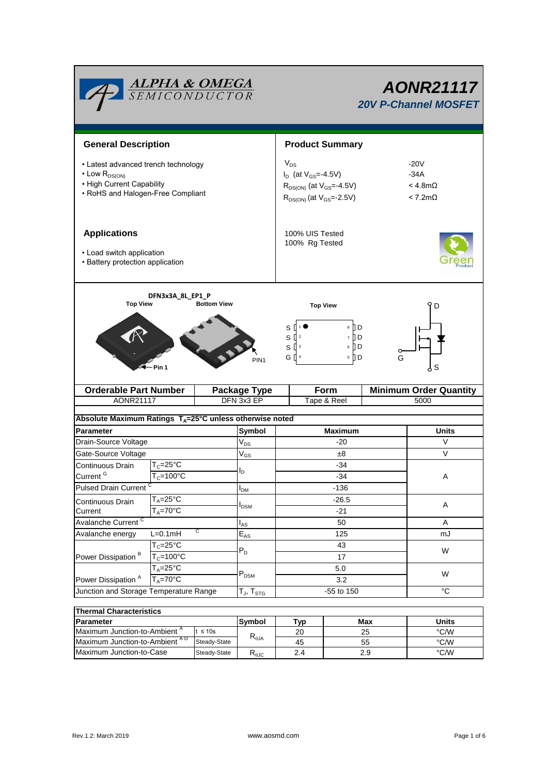

# *AONR21117 20V P-Channel MOSFET*

| <b>General Description</b>                                                                                                        |                       |                    |                         | <b>Product Summary</b>                                                                                                |                                                                                          |   |                                                                 |  |  |  |  |  |
|-----------------------------------------------------------------------------------------------------------------------------------|-----------------------|--------------------|-------------------------|-----------------------------------------------------------------------------------------------------------------------|------------------------------------------------------------------------------------------|---|-----------------------------------------------------------------|--|--|--|--|--|
| • Latest advanced trench technology<br>$\cdot$ Low $R_{DS(ON)}$<br>• High Current Capability<br>• RoHS and Halogen-Free Compliant |                       |                    |                         | $V_{DS}$<br>$I_D$ (at $V_{GS} = -4.5V$ )<br>$R_{DS(ON)}$ (at $V_{GS} = 4.5V$ )<br>$R_{DS(ON)}$ (at $V_{GS} = -2.5V$ ) |                                                                                          |   | $-20V$<br>$-34A$<br>$<$ 4.8m $\Omega$<br>$< 7.2 \text{m}\Omega$ |  |  |  |  |  |
| <b>Applications</b><br>• Load switch application<br>• Battery protection application                                              |                       |                    |                         |                                                                                                                       | 100% UIS Tested<br>100% Rg Tested                                                        |   |                                                                 |  |  |  |  |  |
| <b>Top View</b>                                                                                                                   | DFN3x3A_8L_EP1_P      | <b>Bottom View</b> |                         |                                                                                                                       | <b>Top View</b>                                                                          |   | Y D                                                             |  |  |  |  |  |
|                                                                                                                                   | Pin 1                 |                    | PIN <sub>1</sub>        |                                                                                                                       | 8    D<br>s [<br>$S^{2}$<br>7 <b>D</b><br>$S^{\prod 3}$<br>$6$ $\Box$ D<br>G [] 4<br>5 D | G | S                                                               |  |  |  |  |  |
| <b>Orderable Part Number</b>                                                                                                      |                       |                    | Form<br>Package Type    |                                                                                                                       |                                                                                          |   | <b>Minimum Order Quantity</b>                                   |  |  |  |  |  |
| AONR21117                                                                                                                         |                       |                    | DFN 3x3 EP              | Tape & Reel                                                                                                           |                                                                                          |   | 5000                                                            |  |  |  |  |  |
|                                                                                                                                   |                       |                    |                         |                                                                                                                       | Absolute Maximum Ratings $T_A = 25^\circ C$ unless otherwise noted                       |   |                                                                 |  |  |  |  |  |
| <b>Parameter</b>                                                                                                                  |                       |                    |                         |                                                                                                                       |                                                                                          |   |                                                                 |  |  |  |  |  |
| Drain-Source Voltage                                                                                                              |                       |                    |                         |                                                                                                                       |                                                                                          |   |                                                                 |  |  |  |  |  |
|                                                                                                                                   |                       |                    | <b>Symbol</b>           |                                                                                                                       | <b>Maximum</b><br>-20                                                                    |   | Units<br>V                                                      |  |  |  |  |  |
| Gate-Source Voltage                                                                                                               |                       |                    | $V_{DS}$                |                                                                                                                       | ±8                                                                                       |   | V                                                               |  |  |  |  |  |
| Continuous Drain                                                                                                                  | $T_c = 25$ °C         |                    | $V_{GS}$                |                                                                                                                       | $-34$                                                                                    |   |                                                                 |  |  |  |  |  |
| Current <sup>G</sup>                                                                                                              | $T_c = 100^{\circ}$ C |                    | I <sub>D</sub>          |                                                                                                                       | $-34$                                                                                    |   | Α                                                               |  |  |  |  |  |
| <b>Pulsed Drain Current</b>                                                                                                       |                       |                    |                         |                                                                                                                       | $-136$                                                                                   |   |                                                                 |  |  |  |  |  |
|                                                                                                                                   | $T_A = 25$ °C         |                    | I <sub>DM</sub>         |                                                                                                                       | $-26.5$                                                                                  |   |                                                                 |  |  |  |  |  |
| Continuous Drain<br>Current                                                                                                       | $T_A = 70^\circ C$    |                    | <b>I</b> <sub>DSM</sub> |                                                                                                                       | $-21$                                                                                    |   | Α                                                               |  |  |  |  |  |
|                                                                                                                                   |                       |                    |                         |                                                                                                                       | 50                                                                                       |   | Α                                                               |  |  |  |  |  |
| Avalanche Current <sup>C</sup><br>Avalanche energy                                                                                | $L=0.1$ mH            | С                  | $I_{AS}$                |                                                                                                                       | 125                                                                                      |   | mJ                                                              |  |  |  |  |  |
|                                                                                                                                   | $T_c = 25^\circ C$    |                    | $E_{AS}$                |                                                                                                                       | 43                                                                                       |   |                                                                 |  |  |  |  |  |
| Power Dissipation <sup>B</sup>                                                                                                    | $T_c = 100^{\circ}$ C |                    | $P_D$                   |                                                                                                                       | 17                                                                                       |   | W                                                               |  |  |  |  |  |
|                                                                                                                                   | $T_A = 25^{\circ}$ C  |                    |                         |                                                                                                                       | 5.0                                                                                      |   |                                                                 |  |  |  |  |  |
| Power Dissipation <sup>A</sup>                                                                                                    | $T_A = 70$ °C         |                    | $P_{DSM}$               |                                                                                                                       | 3.2                                                                                      |   | W                                                               |  |  |  |  |  |
| Junction and Storage Temperature Range                                                                                            |                       |                    | $T_J$ , $T_{STG}$       |                                                                                                                       | -55 to 150                                                                               |   | $^{\circ}C$                                                     |  |  |  |  |  |

| <b>Thermal Characteristics</b>           |               |                        |     |       |      |  |  |
|------------------------------------------|---------------|------------------------|-----|-------|------|--|--|
| <b>IParameter</b>                        | <b>Symbol</b> | ™vp                    | Max | Units |      |  |  |
| Maximum Junction-to-Ambient <sup>A</sup> | $t \leq 10s$  |                        | 20  | 25    | °C/W |  |  |
| Maximum Junction-to-Ambient AD           | Steady-State  | $R_{\theta$ JA         | 45  | 55    | °C/W |  |  |
| Maximum Junction-to-Case                 | Steady-State  | $R_{\theta \text{JC}}$ | 2.4 | 2.9   | °C/W |  |  |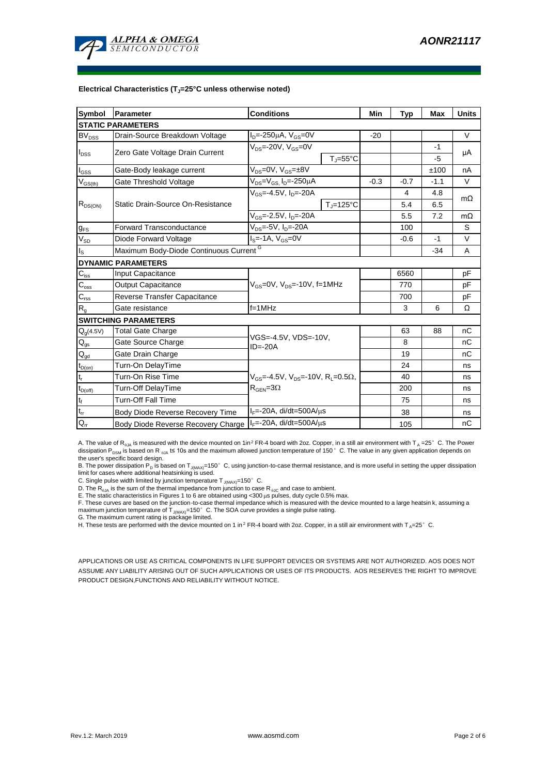

#### **Electrical Characteristics (TJ=25°C unless otherwise noted)**

| <b>Symbol</b>                  | Parameter                                                  | <b>Conditions</b>                                                              | Min    | Typ            | <b>Max</b> | <b>Units</b> |  |  |
|--------------------------------|------------------------------------------------------------|--------------------------------------------------------------------------------|--------|----------------|------------|--------------|--|--|
| <b>STATIC PARAMETERS</b>       |                                                            |                                                                                |        |                |            |              |  |  |
| <b>BV<sub>DSS</sub></b>        | Drain-Source Breakdown Voltage                             | $I_{D} = 250 \mu A$ , $V_{GS} = 0V$                                            | $-20$  |                |            | $\vee$       |  |  |
| $I_{DSS}$                      | Zero Gate Voltage Drain Current                            | $V_{DS}$ =-20V, $V_{GS}$ =0V                                                   |        |                | $-1$       | μA           |  |  |
|                                |                                                            | $T_{\parallel} = 55^{\circ}$ C                                                 |        |                | -5         |              |  |  |
| I <sub>GSS</sub>               | Gate-Body leakage current                                  | $V_{DS} = 0V$ , $V_{GS} = \pm 8V$                                              |        |                | ±100       | nA           |  |  |
| $\mathsf{V}_{\mathsf{GS(th)}}$ | Gate Threshold Voltage                                     | $\overline{V_{DS}}$ = $V_{GS}$ , I <sub>D</sub> =-250µA                        | $-0.3$ | $-0.7$         | $-1.1$     | $\vee$       |  |  |
| $R_{DS(ON)}$                   |                                                            | $V_{GS}$ = 4.5V, I <sub>D</sub> =-20A                                          |        | $\overline{4}$ | 4.8        | $m\Omega$    |  |  |
|                                | Static Drain-Source On-Resistance                          | $T_{\rm J}$ =125°C                                                             |        | 5.4            | 6.5        |              |  |  |
|                                |                                                            | $V_{GS}$ =-2.5V, $I_{D}$ =-20A                                                 |        | 5.5            | 7.2        | $m\Omega$    |  |  |
| $g_{FS}$                       | <b>Forward Transconductance</b>                            | $V_{DS} = 5V$ , $I_{D} = 20A$                                                  |        | 100            |            | S            |  |  |
| $V_{SD}$                       | Diode Forward Voltage                                      | $IS=-1A, VGS=0V$                                                               |        | $-0.6$         | $-1$       | $\vee$       |  |  |
| I <sub>s</sub>                 | Maximum Body-Diode Continuous Current <sup>G</sup>         |                                                                                |        |                | $-34$      | A            |  |  |
|                                | <b>DYNAMIC PARAMETERS</b>                                  |                                                                                |        |                |            |              |  |  |
| $C_{\text{iss}}$               | Input Capacitance                                          |                                                                                |        | 6560           |            | рF           |  |  |
| $C_{\rm oss}$                  | <b>Output Capacitance</b>                                  | $V_{GS}$ =0V, $V_{DS}$ =-10V, f=1MHz                                           |        | 770            |            | рF           |  |  |
| $C_{\text{rss}}$               | Reverse Transfer Capacitance                               |                                                                                |        | 700            |            | рF           |  |  |
| $\mathsf{R}_{\mathsf{g}}$      | Gate resistance                                            | $f = 1$ MHz                                                                    |        | 3              | 6          | Ω            |  |  |
| <b>SWITCHING PARAMETERS</b>    |                                                            |                                                                                |        |                |            |              |  |  |
| $Q_g(4.5V)$                    | Total Gate Charge                                          |                                                                                |        | 63             | 88         | nС           |  |  |
| $\mathsf{Q}_{\mathsf{gs}}$     | Gate Source Charge                                         | VGS=-4.5V, VDS=-10V,<br>$ID = -20A$                                            |        | 8              |            | nC           |  |  |
| $Q_{gd}$                       | Gate Drain Charge                                          |                                                                                |        | 19             |            | nC           |  |  |
| $t_{D(on)}$                    | Turn-On DelayTime                                          |                                                                                |        | 24             |            | ns           |  |  |
| $t_r$                          | Turn-On Rise Time                                          | $V_{\text{GS}}$ = 4.5V, $V_{\text{DS}}$ = 10V, R <sub>1</sub> = 0.5 $\Omega$ , |        | 40             |            | ns           |  |  |
| $t_{D(off)}$                   | Turn-Off DelayTime                                         | $R_{\text{GEN}} = 3\Omega$                                                     |        | 200            |            | ns           |  |  |
| $t_f$                          | <b>Turn-Off Fall Time</b>                                  |                                                                                |        | 75             |            | ns           |  |  |
| $\mathfrak{t}_{\text{rr}}$     | Body Diode Reverse Recovery Time                           | $I_F$ =-20A, di/dt=500A/ $\mu$ s                                               |        | 38             |            | ns           |  |  |
| $Q_{rr}$                       | Body Diode Reverse Recovery Charge   F=-20A, di/dt=500A/µs |                                                                                |        | 105            |            | nC           |  |  |

A. The value of R<sub>0JA</sub> is measured with the device mounted on 1in<sup>2</sup> FR-4 board with 2oz. Copper, in a still air environment with T<sub>A</sub> =25°C. The Power dissipation P<sub>DSM</sub> is based on R <sub>6JA</sub> t≤ 10s and the maximum allowed junction temperature of 150 °C. The value in any given application depends on<br>the user's specific board design.

B. The power dissipation P<sub>D</sub> is based on T<sub>J(MAX)</sub>=150°C, using junction-to-case thermal resistance, and is more useful in setting the upper dissipation<br>limit for cases where additional heatsinking is used.

C. Single pulse width limited by junction temperature  $T_{J(MAX)}$ =150°C.

D. The  $R_{q_0A}$  is the sum of the thermal impedance from junction to case  $R_{q_0C}$  and case to ambient.

E. The static characteristics in Figures 1 to 6 are obtained using <300 µs pulses, duty cycle 0.5% max.

F. These curves are based on the junction-to-case thermal impedance which is measured with the device mounted to a large heatsin k, assuming a<br>maximum junction temperature of T<sub>JMAX)</sub>=150° C. The SOA curve provides a singl

G. The maximum current rating is package limited.

H. These tests are performed with the device mounted on 1 in <sup>2</sup> FR-4 board with 2oz. Copper, in a still air environment with T<sub>A</sub>=25°C.

APPLICATIONS OR USE AS CRITICAL COMPONENTS IN LIFE SUPPORT DEVICES OR SYSTEMS ARE NOT AUTHORIZED. AOS DOES NOT ASSUME ANY LIABILITY ARISING OUT OF SUCH APPLICATIONS OR USES OF ITS PRODUCTS. AOS RESERVES THE RIGHT TO IMPROVE PRODUCT DESIGN,FUNCTIONS AND RELIABILITY WITHOUT NOTICE.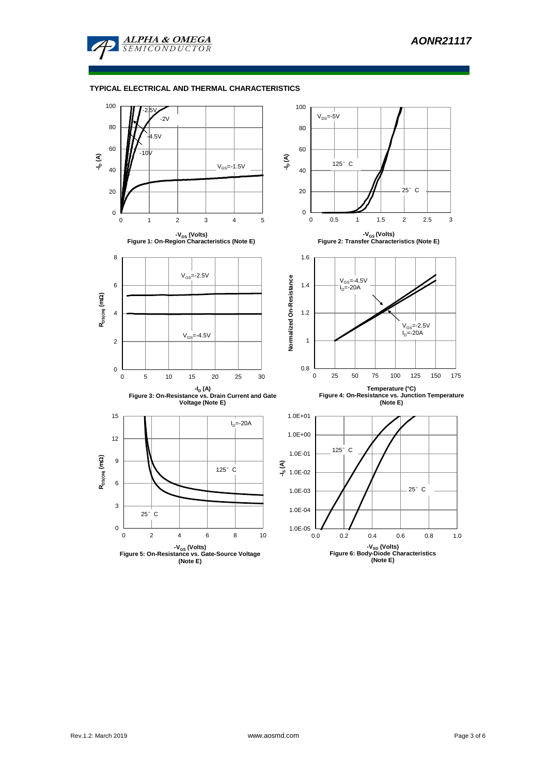

#### **TYPICAL ELECTRICAL AND THERMAL CHARACTERISTICS**

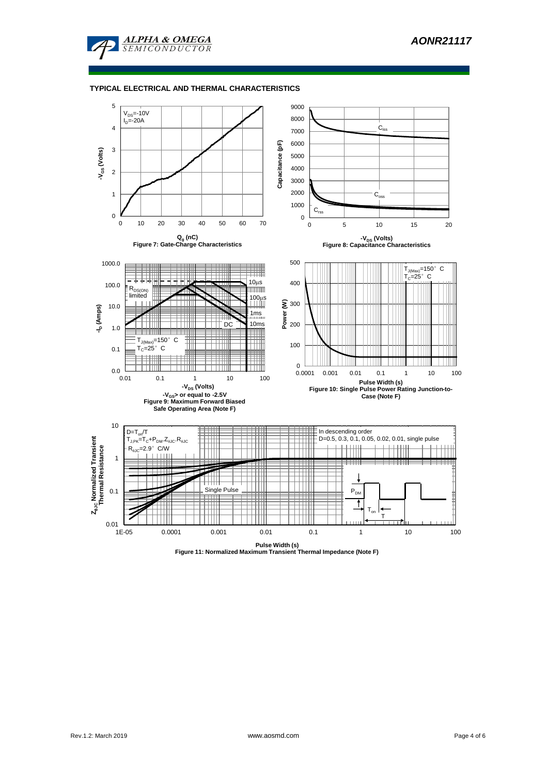

#### **TYPICAL ELECTRICAL AND THERMAL CHARACTERISTICS**

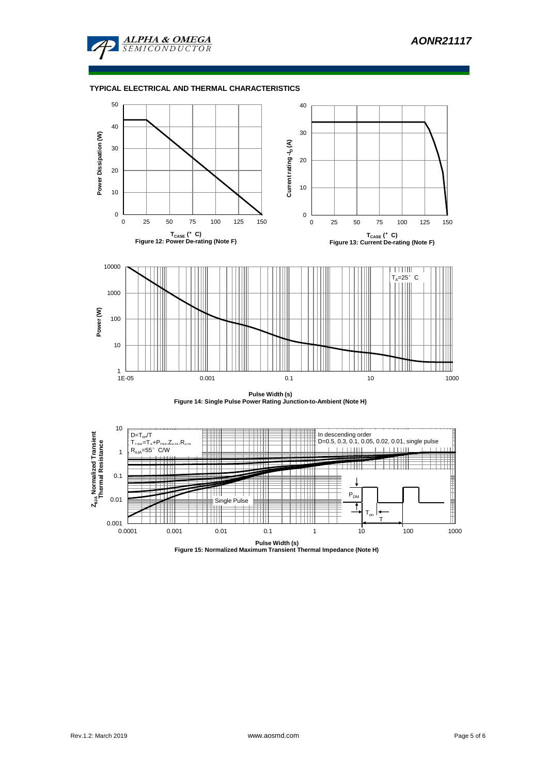

#### **TYPICAL ELECTRICAL AND THERMAL CHARACTERISTICS**



**Pulse Width (s) Figure 14: Single Pulse Power Rating Junction-to-Ambient (Note H)**